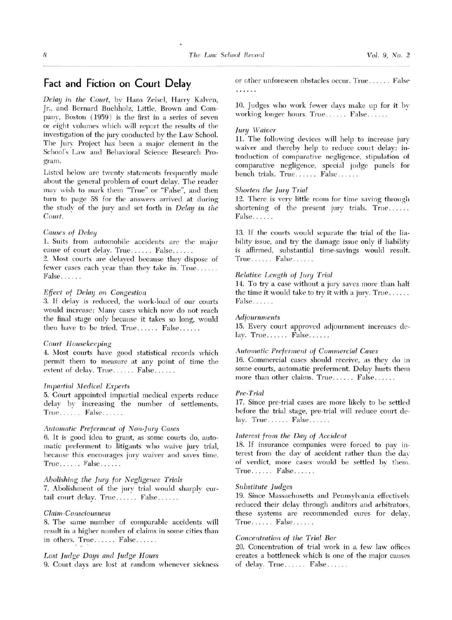# Fact and Fiction on Court Delay

Delay in the Court, by Hans Zeisel, Harry Kalven, Jr., and Bernard Buchholz, Little, Brown and Company, Boston (1959) is the first in a series of seven or eight volumes which will report the results of the investigation of the jury conducted by the Law School. The Jury Project has been <sup>a</sup> major element in the School's Law and Behavioral Science Research Program.

Listed below are twenty statements frequently made about the general problem of court delay. The reader may wish to mark them "True" or "False", and then turn to page <sup>58</sup> for the answers arrived at during the study of the jury and set forth in Delay in the Court.

# Causes of Delay

1. Suits from automobile accidents are the major cause of court delay. True...... False......

2. Most courts are delayed because they dispose of fewer cases each year than they take in. True...... False......

## Effect of Delay on Congestion

3. If delay is reduced, the work-load of our courts would increase: Many cases which now do not reach the final stage only because it takes so long, would then have to be tried.  $True...$   $False...$ ...

# Court Housekeeping

4. Most courts have good statistical records which permit them to measure at any point of time the extent of delay. True...... False......

## **Impartial Medical Experts**

5. Court appointed impartial medical experts reduce delay by increasing the number of settlements. True...... False......

# Automatic Preferment of Non-Jury Cases

6. It is good idea to grant, as some courts do, automatic preferment to litigants who waive jury trial, because this encourages jury waiver and saves time. True...... False......

# Abolishing the Jury for Negligence Trials

7. Abolishment of the jury trial would sharply curtail court delay. True...... False......

# Claim-Consciousness

8. The same number of comparable accidents will result in <sup>a</sup> higher number of claims in some cities than in others. True....... False......

# Lost Judge Days and Judge Hours

9. Court days are lost at random whenever sickness

or other unforeseen obstacles occur. True ...... False .<br>Kabupatèn

10. Judges who work fewer days make up for it by working longer hours. True...... False......

#### Jury Waiver

11. The following devices will help to increase jury waiver and thereby help to reduce court delay: introduction of comparative negligence, stipulation of comparative negligence, special judge panels for bench trials. True ...... False ......

## Shorten the Jury Trial

12. There is very little room for time saving through shortening of the present jury trials. True...... False . . . . . .

13. If the courts would separate the trial of the liability issue, and try the damage issue only if liability is affirmed, substantial time-savings would result. True. . . . .. False .

## Relative Length of Jury Trial

14. To try <sup>a</sup> case without <sup>a</sup> jury saves more than half the time it would take to try it with <sup>a</sup> jury. True . False......

# Adjournments

15. Every court approved adjournment increases de- $\text{lay. True} \dots$ . False......

## Automatic Preferment of Commercial Cases

16. Commercial cases should receive, as they do in some courts, automatic preferment. Delay hurts them more than other claims. True...... False......

# Pre-Trial

17. Since pre-trial cases are more likely to be settled before the trial stage, pre-trial will reduce court de- $\text{lay. True} \dots$ .......  $\text{False} \dots$ ....

# Interest from the Day of Accident

18. If insurance companies were forced to pay interest from the day of accident rather than the day of verdict, more cases would be settled by them. True...... False......

# Substitute Judges

19. Since Massachusetts and Pennsylvania effectively reduced their delay through auditors and arbitrators, these systems are recommended cures for delay.  $True...$ . False......

## Concentration of the Trial Bar

20. Concentration of trial work in a few law offices creates <sup>a</sup> bottleneck which is one of the major causes of delay. True...... False......